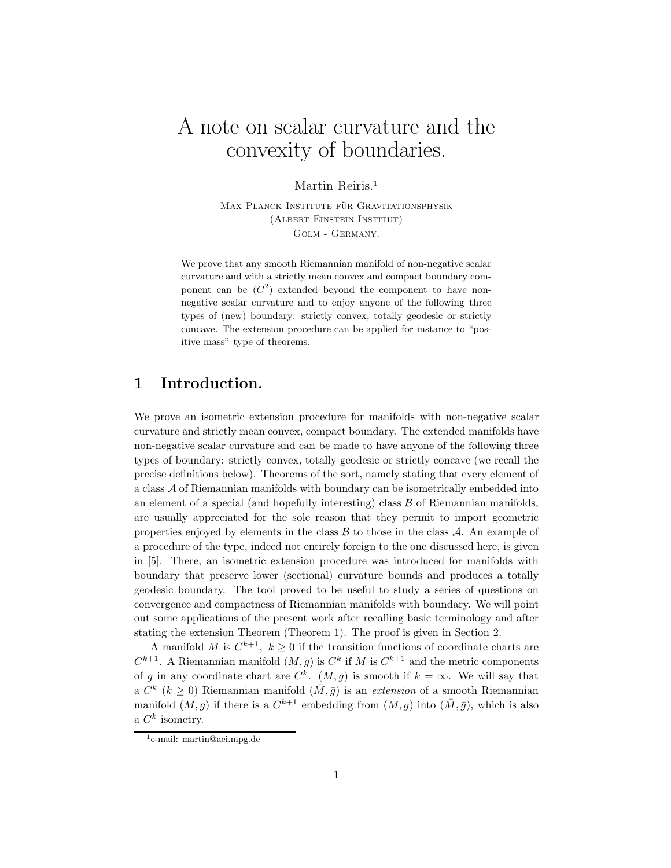## A note on scalar curvature and the convexity of boundaries.

Martin Reiris.<sup>1</sup>

MAX PLANCK INSTITUTE FÜR GRAVITATIONSPHYSIK (Albert Einstein Institut) Golm - Germany.

We prove that any smooth Riemannian manifold of non-negative scalar curvature and with a strictly mean convex and compact boundary component can be  $(C^2)$  extended beyond the component to have nonnegative scalar curvature and to enjoy anyone of the following three types of (new) boundary: strictly convex, totally geodesic or strictly concave. The extension procedure can be applied for instance to "positive mass" type of theorems.

## 1 Introduction.

We prove an isometric extension procedure for manifolds with non-negative scalar curvature and strictly mean convex, compact boundary. The extended manifolds have non-negative scalar curvature and can be made to have anyone of the following three types of boundary: strictly convex, totally geodesic or strictly concave (we recall the precise definitions below). Theorems of the sort, namely stating that every element of a class  $A$  of Riemannian manifolds with boundary can be isometrically embedded into an element of a special (and hopefully interesting) class  $\beta$  of Riemannian manifolds, are usually appreciated for the sole reason that they permit to import geometric properties enjoyed by elements in the class  $\beta$  to those in the class  $\mathcal A$ . An example of a procedure of the type, indeed not entirely foreign to the one discussed here, is given in [5]. There, an isometric extension procedure was introduced for manifolds with boundary that preserve lower (sectional) curvature bounds and produces a totally geodesic boundary. The tool proved to be useful to study a series of questions on convergence and compactness of Riemannian manifolds with boundary. We will point out some applications of the present work after recalling basic terminology and after stating the extension Theorem (Theorem 1). The proof is given in Section 2.

A manifold M is  $C^{k+1}$ ,  $k > 0$  if the transition functions of coordinate charts are  $C^{k+1}$ . A Riemannian manifold  $(M, g)$  is  $C^k$  if M is  $C^{k+1}$  and the metric components of g in any coordinate chart are  $C^k$ .  $(M,g)$  is smooth if  $k = \infty$ . We will say that a  $C^k$  ( $k \geq 0$ ) Riemannian manifold  $(\bar{M}, \bar{g})$  is an extension of a smooth Riemannian manifold  $(M, g)$  if there is a  $C^{k+1}$  embedding from  $(M, g)$  into  $(\bar{M}, \bar{g})$ , which is also a  $C^k$  isometry.

<sup>&</sup>lt;sup>1</sup>e-mail: martin@aei.mpg.de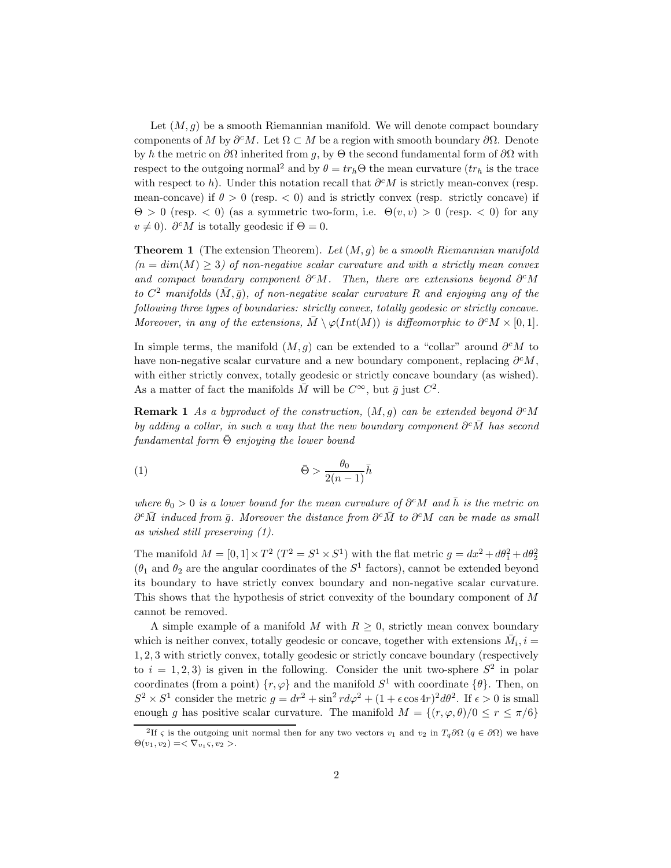Let  $(M,g)$  be a smooth Riemannian manifold. We will denote compact boundary components of M by  $\partial^c M$ . Let  $\Omega \subset M$  be a region with smooth boundary  $\partial \Omega$ . Denote by h the metric on  $\partial\Omega$  inherited from g, by  $\Theta$  the second fundamental form of  $\partial\Omega$  with respect to the outgoing normal<sup>2</sup> and by  $\theta = tr_h \Theta$  the mean curvature  $(tr_h$  is the trace with respect to h). Under this notation recall that  $\partial^c M$  is strictly mean-convex (resp. mean-concave) if  $\theta > 0$  (resp.  $\lt 0$ ) and is strictly convex (resp. strictly concave) if  $\Theta > 0$  (resp.  $\lt 0$ ) (as a symmetric two-form, i.e.  $\Theta(v, v) > 0$  (resp.  $\lt 0$ ) for any  $v \neq 0$ ).  $\partial^c M$  is totally geodesic if  $\Theta = 0$ .

**Theorem 1** (The extension Theorem). Let  $(M, g)$  be a smooth Riemannian manifold  $(n = dim(M) \geq 3)$  of non-negative scalar curvature and with a strictly mean convex and compact boundary component  $\partial^c M$ . Then, there are extensions beyond  $\partial^c M$ to  $C^2$  manifolds  $(\bar{M}, \bar{g})$ , of non-negative scalar curvature R and enjoying any of the following three types of boundaries: strictly convex, totally geodesic or strictly concave. Moreover, in any of the extensions,  $M \setminus \varphi(Int(M))$  is diffeomorphic to  $\partial^c M \times [0,1].$ 

In simple terms, the manifold  $(M, q)$  can be extended to a "collar" around  $\partial^c M$  to have non-negative scalar curvature and a new boundary component, replacing  $\partial^c M$ , with either strictly convex, totally geodesic or strictly concave boundary (as wished). As a matter of fact the manifolds  $\overline{M}$  will be  $C^{\infty}$ , but  $\overline{q}$  just  $C^2$ .

**Remark 1** As a byproduct of the construction,  $(M, g)$  can be extended beyond  $\partial^c M$ by adding a collar, in such a way that the new boundary component  $\partial^c\overline{M}$  has second fundamental form  $\overline{\Theta}$  enjoying the lower bound

$$
\bar{\Theta} > \frac{\theta_0}{2(n-1)}\bar{h}
$$

where  $\theta_0 > 0$  is a lower bound for the mean curvature of  $\partial^c M$  and h is the metric on  $\partial^c \bar{M}$  induced from  $\bar{g}$ . Moreover the distance from  $\partial^c \bar{M}$  to  $\partial^c M$  can be made as small as wished still preserving (1).

The manifold  $M = [0, 1] \times T^2 (T^2 = S^1 \times S^1)$  with the flat metric  $g = dx^2 + d\theta_1^2 + d\theta_2^2$  $(\theta_1$  and  $\theta_2$  are the angular coordinates of the  $S^1$  factors), cannot be extended beyond its boundary to have strictly convex boundary and non-negative scalar curvature. This shows that the hypothesis of strict convexity of the boundary component of M cannot be removed.

A simple example of a manifold M with  $R \geq 0$ , strictly mean convex boundary which is neither convex, totally geodesic or concave, together with extensions  $\bar{M}_i$ ,  $i =$ 1, 2, 3 with strictly convex, totally geodesic or strictly concave boundary (respectively to  $i = 1, 2, 3$  is given in the following. Consider the unit two-sphere  $S^2$  in polar coordinates (from a point)  $\{r, \varphi\}$  and the manifold  $S^1$  with coordinate  $\{\theta\}$ . Then, on  $S^2 \times S^1$  consider the metric  $g = dr^2 + \sin^2 r d\varphi^2 + (1 + \epsilon \cos 4r)^2 d\theta^2$ . If  $\epsilon > 0$  is small enough g has positive scalar curvature. The manifold  $M = \{(r, \varphi, \theta)/0 \le r \le \pi/6\}$ 

<sup>&</sup>lt;sup>2</sup>If  $\varsigma$  is the outgoing unit normal then for any two vectors  $v_1$  and  $v_2$  in  $T_q\partial\Omega$  ( $q\in\partial\Omega$ ) we have  $\Theta(v_1, v_2) = \langle \nabla_{v_1} \zeta, v_2 \rangle.$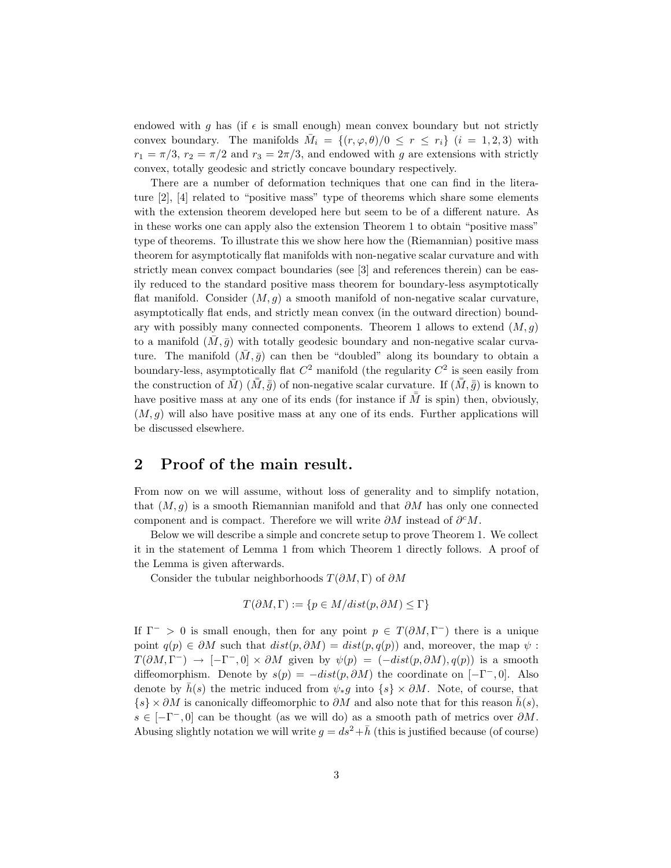endowed with g has (if  $\epsilon$  is small enough) mean convex boundary but not strictly convex boundary. The manifolds  $M_i = \{(r, \varphi, \theta)/0 \leq r \leq r_i\}$   $(i = 1, 2, 3)$  with  $r_1 = \pi/3$ ,  $r_2 = \pi/2$  and  $r_3 = 2\pi/3$ , and endowed with g are extensions with strictly convex, totally geodesic and strictly concave boundary respectively.

There are a number of deformation techniques that one can find in the literature [2], [4] related to "positive mass" type of theorems which share some elements with the extension theorem developed here but seem to be of a different nature. As in these works one can apply also the extension Theorem 1 to obtain "positive mass" type of theorems. To illustrate this we show here how the (Riemannian) positive mass theorem for asymptotically flat manifolds with non-negative scalar curvature and with strictly mean convex compact boundaries (see [3] and references therein) can be easily reduced to the standard positive mass theorem for boundary-less asymptotically flat manifold. Consider  $(M, g)$  a smooth manifold of non-negative scalar curvature, asymptotically flat ends, and strictly mean convex (in the outward direction) boundary with possibly many connected components. Theorem 1 allows to extend  $(M, g)$ to a manifold  $(M, \bar{g})$  with totally geodesic boundary and non-negative scalar curvature. The manifold  $(\bar{M}, \bar{g})$  can then be "doubled" along its boundary to obtain a boundary-less, asymptotically flat  $C^2$  manifold (the regularity  $C^2$  is seen easily from the construction of  $\bar{M}$ )  $(\bar{M}, \bar{\bar{g}})$  of non-negative scalar curvature. If  $(\bar{M}, \bar{\bar{g}})$  is known to have positive mass at any one of its ends (for instance if  $\overline{M}$  is spin) then, obviously,  $(M, q)$  will also have positive mass at any one of its ends. Further applications will be discussed elsewhere.

## 2 Proof of the main result.

From now on we will assume, without loss of generality and to simplify notation, that  $(M, q)$  is a smooth Riemannian manifold and that  $\partial M$  has only one connected component and is compact. Therefore we will write  $\partial M$  instead of  $\partial^c M$ .

Below we will describe a simple and concrete setup to prove Theorem 1. We collect it in the statement of Lemma 1 from which Theorem 1 directly follows. A proof of the Lemma is given afterwards.

Consider the tubular neighborhoods  $T(\partial M, \Gamma)$  of  $\partial M$ 

$$
T(\partial M, \Gamma) := \{ p \in M / dist(p, \partial M) \le \Gamma \}
$$

If  $\Gamma^- > 0$  is small enough, then for any point  $p \in T(\partial M, \Gamma^-)$  there is a unique point  $q(p) \in \partial M$  such that  $dist(p, \partial M) = dist(p, q(p))$  and, moreover, the map  $\psi$ :  $T(\partial M,\Gamma^-) \rightarrow [-\Gamma^-,0] \times \partial M$  given by  $\psi(p) = (-dist(p,\partial M), q(p))$  is a smooth diffeomorphism. Denote by  $s(p) = -dist(p, \partial M)$  the coordinate on  $[-\Gamma^-, 0]$ . Also denote by  $\bar{h}(s)$  the metric induced from  $\psi_*g$  into  $\{s\} \times \partial M$ . Note, of course, that  $\{s\} \times \partial M$  is canonically diffeomorphic to  $\partial M$  and also note that for this reason  $h(s)$ ,  $s \in [-\Gamma^-, 0]$  can be thought (as we will do) as a smooth path of metrics over  $\partial M$ . Abusing slightly notation we will write  $g = ds^2 + \bar{h}$  (this is justified because (of course)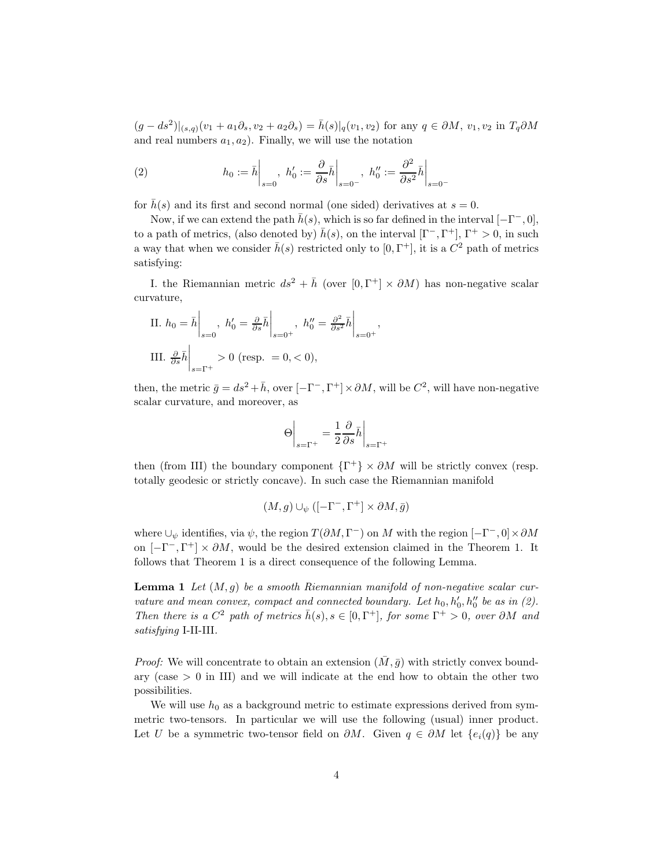$(g - ds^2)|_{(s,q)}(v_1 + a_1\partial_s, v_2 + a_2\partial_s) = \bar{h}(s)|_q(v_1, v_2)$  for any  $q \in \partial M$ ,  $v_1, v_2$  in  $T_q\partial M$ and real numbers  $a_1, a_2$ ). Finally, we will use the notation

(2) 
$$
h_0 := \bar{h}\Big|_{s=0}, \ h'_0 := \frac{\partial}{\partial s} \bar{h}\Big|_{s=0^-}, \ h''_0 := \frac{\partial^2}{\partial s^2} \bar{h}\Big|_{s=0^-}
$$

for  $\bar{h}(s)$  and its first and second normal (one sided) derivatives at  $s = 0$ .

Now, if we can extend the path  $\bar{h}(s)$ , which is so far defined in the interval  $[-\Gamma^-, 0]$ , to a path of metrics, (also denoted by)  $\bar{h}(s)$ , on the interval  $[\Gamma^-, \Gamma^+]$ ,  $\Gamma^+ > 0$ , in such a way that when we consider  $\bar{h}(s)$  restricted only to  $[0, \Gamma^+]$ , it is a  $C^2$  path of metrics satisfying:

I. the Riemannian metric  $ds^2 + \bar{h}$  (over  $[0, \Gamma^+] \times \partial M$ ) has non-negative scalar curvature,

II. 
$$
h_0 = \bar{h} \Big|_{s=0}
$$
,  $h'_0 = \frac{\partial}{\partial s} \bar{h} \Big|_{s=0^+}$ ,  $h''_0 = \frac{\partial^2}{\partial s^2} \bar{h} \Big|_{s=0^+}$ ,  
III.  $\frac{\partial}{\partial s} \bar{h} \Big|_{s=\Gamma^+} > 0$  (resp.  $= 0, < 0$ ),

then, the metric  $\bar{g} = ds^2 + \bar{h}$ , over  $[-\Gamma^-, \Gamma^+] \times \partial M$ , will be  $C^2$ , will have non-negative scalar curvature, and moreover, as

$$
\Theta\Bigg|_{s=\Gamma^+}=\frac{1}{2}\frac{\partial}{\partial s}\bar h\Bigg|_{s=\Gamma^+}
$$

then (from III) the boundary component  $\{\Gamma^+\}\times\partial M$  will be strictly convex (resp. totally geodesic or strictly concave). In such case the Riemannian manifold

$$
(M,g)\cup_{\psi}([-{\Gamma}^-, {\Gamma}^+]\times\partial M,\bar{g})
$$

where  $\cup_{\psi}$  identifies, via  $\psi$ , the region  $T(\partial M, \Gamma^{-})$  on M with the region  $[-\Gamma^{-}, 0] \times \partial M$ on  $[-\Gamma^-, \Gamma^+] \times \partial M$ , would be the desired extension claimed in the Theorem 1. It follows that Theorem 1 is a direct consequence of the following Lemma.

**Lemma 1** Let  $(M, g)$  be a smooth Riemannian manifold of non-negative scalar curvature and mean convex, compact and connected boundary. Let  $h_0, h'_0, h''_0$  be as in (2). Then there is a  $C^2$  path of metrics  $\bar{h}(s), s \in [0, \Gamma^+]$ , for some  $\Gamma^+ > 0$ , over  $\partial M$  and satisfying I-II-III.

*Proof:* We will concentrate to obtain an extension  $(\overline{M}, \overline{g})$  with strictly convex boundary (case  $> 0$  in III) and we will indicate at the end how to obtain the other two possibilities.

We will use  $h_0$  as a background metric to estimate expressions derived from symmetric two-tensors. In particular we will use the following (usual) inner product. Let U be a symmetric two-tensor field on  $\partial M$ . Given  $q \in \partial M$  let  $\{e_i(q)\}\$ be any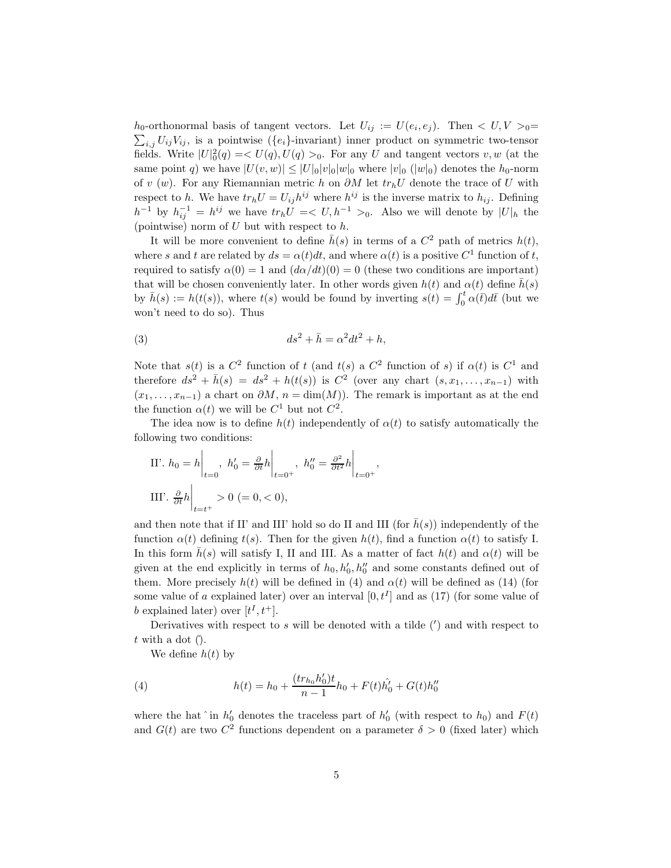$h_0$ -orthonormal basis of tangent vectors. Let  $U_{ij} := U(e_i, e_j)$ . Then  $\langle U, V \rangle = 0$  $\sum_{i,j} U_{ij} V_{ij}$ , is a pointwise ( $\{e_i\}$ -invariant) inner product on symmetric two-tensor fields. Write  $|U|^2_0(q) = \langle U(q), U(q) \rangle_0$ . For any U and tangent vectors  $v, w$  (at the same point q) we have  $|U(v, w)| \leq |U|_0|v|_0|w|_0$  where  $|v|_0$  ( $|w|_0$ ) denotes the  $h_0$ -norm of v (w). For any Riemannian metric h on  $\partial M$  let  $tr_h U$  denote the trace of U with respect to h. We have  $tr_h U = U_{ij} h^{ij}$  where  $h^{ij}$  is the inverse matrix to  $h_{ij}$ . Defining  $h^{-1}$  by  $h_{ij}^{-1} = h^{ij}$  we have  $tr_h U = \langle U, h^{-1} \rangle$ . Also we will denote by  $|U|_h$  the (pointwise) norm of  $U$  but with respect to  $h$ .

It will be more convenient to define  $\bar{h}(s)$  in terms of a  $C^2$  path of metrics  $h(t)$ , where s and t are related by  $ds = \alpha(t)dt$ , and where  $\alpha(t)$  is a positive  $C^1$  function of t, required to satisfy  $\alpha(0) = 1$  and  $(d\alpha/dt)(0) = 0$  (these two conditions are important) that will be chosen conveniently later. In other words given  $h(t)$  and  $\alpha(t)$  define  $\bar{h}(s)$ by  $\bar{h}(s) := h(t(s))$ , where  $t(s)$  would be found by inverting  $s(t) = \int_0^t \alpha(\bar{t}) d\bar{t}$  (but we won't need to do so). Thus

$$
(3) \t\t ds^2 + \bar{h} = \alpha^2 dt^2 + h,
$$

Note that  $s(t)$  is a  $C^2$  function of t (and  $t(s)$  a  $C^2$  function of s) if  $\alpha(t)$  is  $C^1$  and therefore  $ds^2 + \bar{h}(s) = ds^2 + h(t(s))$  is  $C^2$  (over any chart  $(s, x_1, \ldots, x_{n-1})$  with  $(x_1,...,x_{n-1})$  a chart on  $\partial M$ ,  $n = \dim(M)$ ). The remark is important as at the end the function  $\alpha(t)$  we will be  $C^1$  but not  $C^2$ .

The idea now is to define  $h(t)$  independently of  $\alpha(t)$  to satisfy automatically the following two conditions:

II'. 
$$
h_0 = h \Big|_{t=0}
$$
,  $h'_0 = \frac{\partial}{\partial t} h \Big|_{t=0^+}$ ,  $h''_0 = \frac{\partial^2}{\partial t^2} h \Big|_{t=0^+}$ ,  
III'.  $\frac{\partial}{\partial t} h \Big|_{t=t^+} > 0$  (= 0, < 0),

and then note that if II' and III' hold so do II and III (for  $\bar{h}(s)$ ) independently of the function  $\alpha(t)$  defining  $t(s)$ . Then for the given  $h(t)$ , find a function  $\alpha(t)$  to satisfy I. In this form  $\bar{h}(s)$  will satisfy I, II and III. As a matter of fact  $h(t)$  and  $\alpha(t)$  will be given at the end explicitly in terms of  $h_0, h'_0, h''_0$  and some constants defined out of them. More precisely  $h(t)$  will be defined in (4) and  $\alpha(t)$  will be defined as (14) (for some value of a explained later) over an interval  $[0, t<sup>I</sup>]$  and as (17) (for some value of b explained later) over  $[t<sup>I</sup>, t<sup>+</sup>]$ .

Derivatives with respect to  $s$  will be denoted with a tilde  $(')$  and with respect to  $t$  with a dot ( $\theta$ ).

We define  $h(t)$  by

(4) 
$$
h(t) = h_0 + \frac{(tr_{h_0}h'_0)t}{n-1}h_0 + F(t)\hat{h'_0} + G(t)h''_0
$$

where the hat  $\hat{h}'_0$  denotes the traceless part of  $h'_0$  (with respect to  $h_0$ ) and  $F(t)$ and  $G(t)$  are two  $C^2$  functions dependent on a parameter  $\delta > 0$  (fixed later) which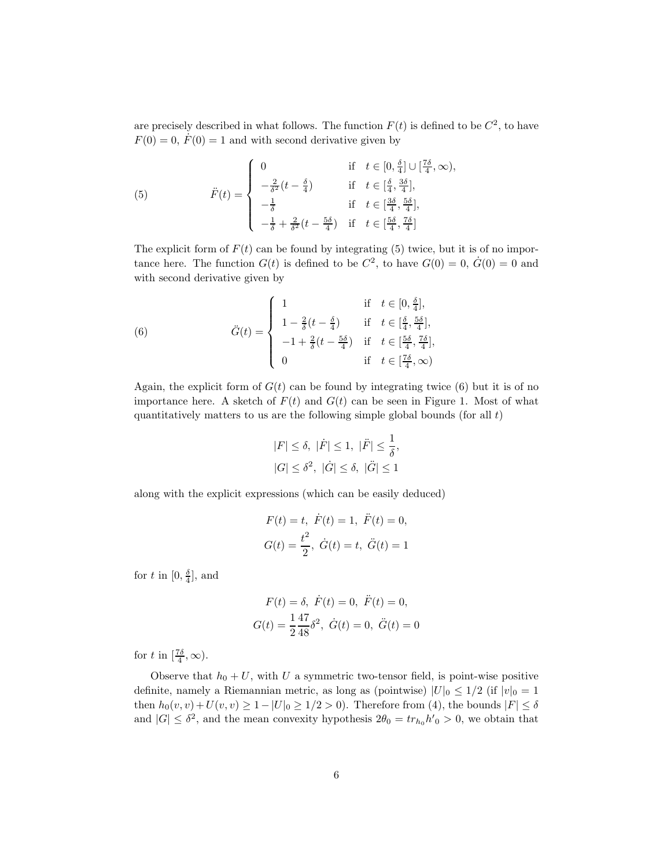are precisely described in what follows. The function  $F(t)$  is defined to be  $C<sup>2</sup>$ , to have  $F(0) = 0, F(0) = 1$  and with second derivative given by

(5) 
$$
\ddot{F}(t) = \begin{cases} 0 & \text{if } t \in [0, \frac{\delta}{4}] \cup [\frac{7\delta}{4}, \infty), \\ -\frac{2}{\delta^2}(t - \frac{\delta}{4}) & \text{if } t \in [\frac{\delta}{4}, \frac{3\delta}{4}], \\ -\frac{1}{\delta} & \text{if } t \in [\frac{3\delta}{4}, \frac{5\delta}{4}], \\ -\frac{1}{\delta} + \frac{2}{\delta^2}(t - \frac{5\delta}{4}) & \text{if } t \in [\frac{5\delta}{4}, \frac{7\delta}{4}] \end{cases}
$$

The explicit form of  $F(t)$  can be found by integrating (5) twice, but it is of no importance here. The function  $G(t)$  is defined to be  $C^2$ , to have  $G(0) = 0$ ,  $\dot{G}(0) = 0$  and with second derivative given by

(6) 
$$
\ddot{G}(t) = \begin{cases} 1 & \text{if } t \in [0, \frac{\delta}{4}], \\ 1 - \frac{2}{\delta}(t - \frac{\delta}{4}) & \text{if } t \in [\frac{\delta}{4}, \frac{5\delta}{4}], \\ -1 + \frac{2}{\delta}(t - \frac{5\delta}{4}) & \text{if } t \in [\frac{5\delta}{4}, \frac{7\delta}{4}], \\ 0 & \text{if } t \in [\frac{7\delta}{4}, \infty) \end{cases}
$$

Again, the explicit form of  $G(t)$  can be found by integrating twice (6) but it is of no importance here. A sketch of  $F(t)$  and  $G(t)$  can be seen in Figure 1. Most of what quantitatively matters to us are the following simple global bounds (for all  $t$ )

$$
|F| \leq \delta, \ |\dot{F}| \leq 1, \ |\ddot{F}| \leq \frac{1}{\delta},
$$
  

$$
|G| \leq \delta^2, \ |\dot{G}| \leq \delta, \ |\ddot{G}| \leq 1
$$

along with the explicit expressions (which can be easily deduced)

$$
F(t) = t, \quad \dot{F}(t) = 1, \quad \ddot{F}(t) = 0,
$$
  

$$
G(t) = \frac{t^2}{2}, \quad \dot{G}(t) = t, \quad \ddot{G}(t) = 1
$$

for t in  $[0, \frac{\delta}{4}]$ , and

$$
F(t) = \delta, \ \dot{F}(t) = 0, \ \ddot{F}(t) = 0,
$$
  

$$
G(t) = \frac{1}{2} \frac{47}{48} \delta^2, \ \dot{G}(t) = 0, \ \ddot{G}(t) = 0
$$

for t in  $\left[\frac{7\delta}{4}, \infty\right)$ .

Observe that  $h_0 + U$ , with U a symmetric two-tensor field, is point-wise positive definite, namely a Riemannian metric, as long as (pointwise)  $|U|_0 \leq 1/2$  (if  $|v|_0 = 1$ then  $h_0(v, v) + U(v, v) \ge 1 - |U|_0 \ge 1/2 > 0$ . Therefore from (4), the bounds  $|F| \le \delta$ and  $|G| \leq \delta^2$ , and the mean convexity hypothesis  $2\theta_0 = tr_{h_0} h'_0 > 0$ , we obtain that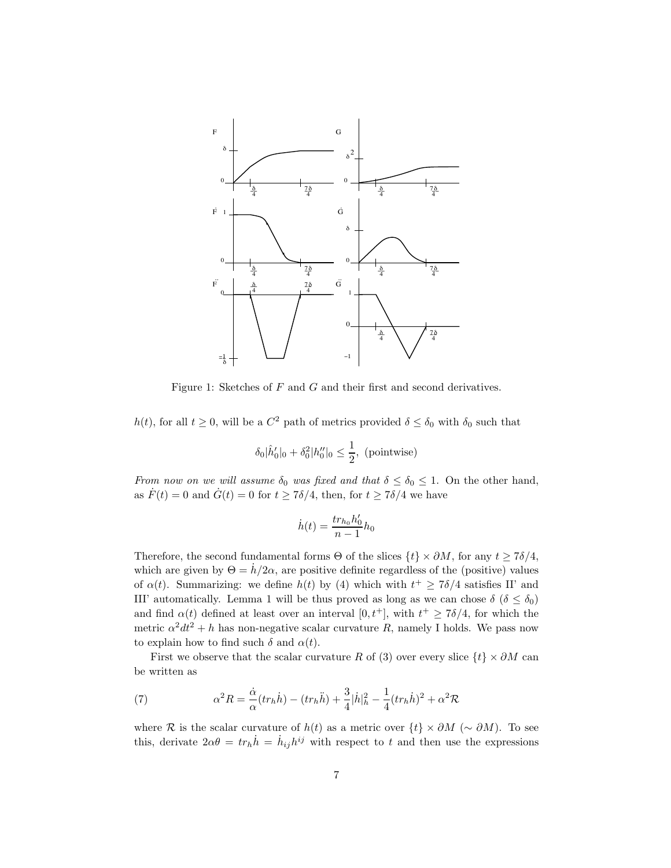

Figure 1: Sketches of F and G and their first and second derivatives.

h(t), for all  $t \geq 0$ , will be a  $C^2$  path of metrics provided  $\delta \leq \delta_0$  with  $\delta_0$  such that

$$
\delta_0 |\hat{h}'_0|_0 + \delta_0^2 |h''_0|_0 \le \frac{1}{2}, \text{ (pointwise)}
$$

From now on we will assume  $\delta_0$  was fixed and that  $\delta \leq \delta_0 \leq 1$ . On the other hand, as  $\dot{F}(t) = 0$  and  $\dot{G}(t) = 0$  for  $t \ge 7\delta/4$ , then, for  $t \ge 7\delta/4$  we have

$$
\dot{h}(t) = \frac{tr_{h_0}h'_0}{n-1}h_0
$$

Therefore, the second fundamental forms  $\Theta$  of the slices  $\{t\} \times \partial M$ , for any  $t \geq 7\delta/4$ , which are given by  $\Theta = \dot{h}/2\alpha$ , are positive definite regardless of the (positive) values of  $\alpha(t)$ . Summarizing: we define  $h(t)$  by (4) which with  $t^+ \geq 7\delta/4$  satisfies II' and III' automatically. Lemma 1 will be thus proved as long as we can chose  $\delta$  ( $\delta \leq \delta_0$ ) and find  $\alpha(t)$  defined at least over an interval  $[0, t^+]$ , with  $t^+ \geq 7\delta/4$ , for which the metric  $\alpha^2 dt^2 + h$  has non-negative scalar curvature R, namely I holds. We pass now to explain how to find such  $\delta$  and  $\alpha(t)$ .

First we observe that the scalar curvature R of (3) over every slice  $\{t\} \times \partial M$  can be written as

(7) 
$$
\alpha^2 R = \frac{\dot{\alpha}}{\alpha} (tr_h \dot{h}) - (tr_h \ddot{h}) + \frac{3}{4} |\dot{h}|_h^2 - \frac{1}{4} (tr_h \dot{h})^2 + \alpha^2 \mathcal{R}
$$

where R is the scalar curvature of  $h(t)$  as a metric over  $\{t\} \times \partial M$  (~  $\partial M$ ). To see this, derivate  $2\alpha\theta = tr_h \dot{h} = \dot{h}_{ij}h^{ij}$  with respect to t and then use the expressions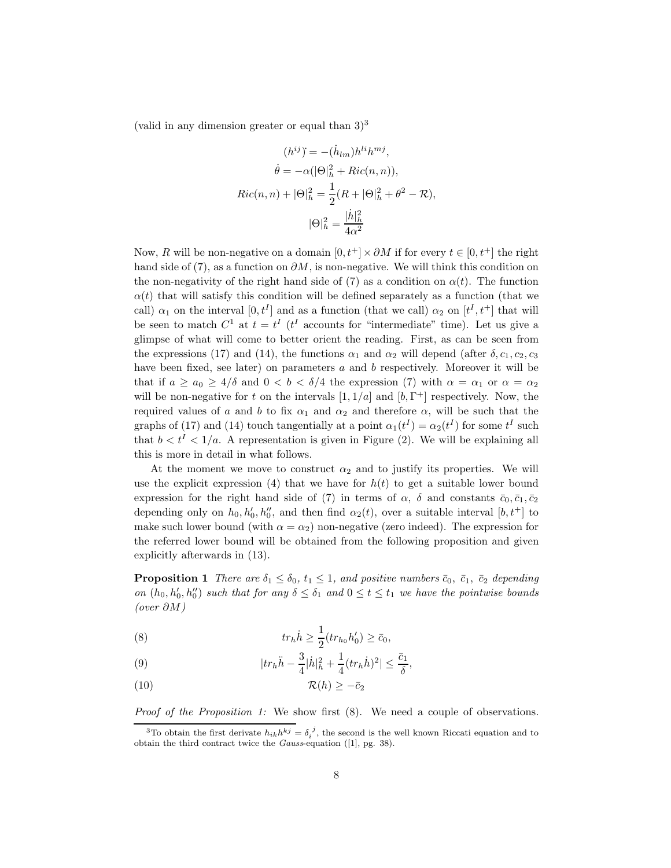(valid in any dimension greater or equal than  $3)^3$ 

$$
(h^{ij}) = -(h_{lm})h^{li}h^{mj},
$$

$$
\dot{\theta} = -\alpha(|\Theta|^2_h + Ric(n, n)),
$$

$$
Ric(n, n) + |\Theta|^2_h = \frac{1}{2}(R + |\Theta|^2_h + \theta^2 - \mathcal{R}),
$$

$$
|\Theta|^2_h = \frac{|\dot{h}|^2_h}{4\alpha^2}
$$

Now, R will be non-negative on a domain  $[0, t^+] \times \partial M$  if for every  $t \in [0, t^+]$  the right hand side of (7), as a function on  $\partial M$ , is non-negative. We will think this condition on the non-negativity of the right hand side of (7) as a condition on  $\alpha(t)$ . The function  $\alpha(t)$  that will satisfy this condition will be defined separately as a function (that we call)  $\alpha_1$  on the interval  $[0, t^I]$  and as a function (that we call)  $\alpha_2$  on  $[t^I, t^+]$  that will be seen to match  $C^1$  at  $t = t^I$  ( $t^I$  accounts for "intermediate" time). Let us give a glimpse of what will come to better orient the reading. First, as can be seen from the expressions (17) and (14), the functions  $\alpha_1$  and  $\alpha_2$  will depend (after  $\delta, c_1, c_2, c_3$ have been fixed, see later) on parameters  $a$  and  $b$  respectively. Moreover it will be that if  $a \ge a_0 \ge 4/\delta$  and  $0 < b < \delta/4$  the expression (7) with  $\alpha = \alpha_1$  or  $\alpha = \alpha_2$ will be non-negative for t on the intervals  $[1, 1/a]$  and  $[b, \Gamma^+]$  respectively. Now, the required values of a and b to fix  $\alpha_1$  and  $\alpha_2$  and therefore  $\alpha$ , will be such that the graphs of (17) and (14) touch tangentially at a point  $\alpha_1(t^I) = \alpha_2(t^I)$  for some  $t^I$  such that  $b < t<sup>I</sup> < 1/a$ . A representation is given in Figure (2). We will be explaining all this is more in detail in what follows.

At the moment we move to construct  $\alpha_2$  and to justify its properties. We will use the explicit expression (4) that we have for  $h(t)$  to get a suitable lower bound expression for the right hand side of (7) in terms of  $\alpha$ ,  $\delta$  and constants  $\bar{c}_0$ ,  $\bar{c}_1$ ,  $\bar{c}_2$ depending only on  $h_0, h'_0, h''_0$ , and then find  $\alpha_2(t)$ , over a suitable interval  $[b, t^+]$  to make such lower bound (with  $\alpha = \alpha_2$ ) non-negative (zero indeed). The expression for the referred lower bound will be obtained from the following proposition and given explicitly afterwards in (13).

**Proposition 1** There are  $\delta_1 \leq \delta_0$ ,  $t_1 \leq 1$ , and positive numbers  $\bar{c}_0$ ,  $\bar{c}_1$ ,  $\bar{c}_2$  depending on  $(h_0, h'_0, h''_0)$  such that for any  $\delta \leq \delta_1$  and  $0 \leq t \leq t_1$  we have the pointwise bounds (over ∂M)

(8) 
$$
tr_{h} \dot{h} \geq \frac{1}{2} (tr_{h_0} h_0') \geq \bar{c}_0,
$$

(9) 
$$
|tr_{h}\ddot{h} - \frac{3}{4}|\dot{h}|_{h}^{2} + \frac{1}{4}(tr_{h}\dot{h})^{2}| \leq \frac{\bar{c}_{1}}{\delta},
$$

$$
(10) \t\t \mathcal{R}(h) \ge -\bar{c}_2
$$

Proof of the Proposition 1: We show first  $(8)$ . We need a couple of observations.

<sup>&</sup>lt;sup>3</sup>To obtain the first derivate  $h_{ik}h^{kj} = \delta_i^{\ j}$ , the second is the well known Riccati equation and to obtain the third contract twice the Gauss-equation ([1], pg. 38).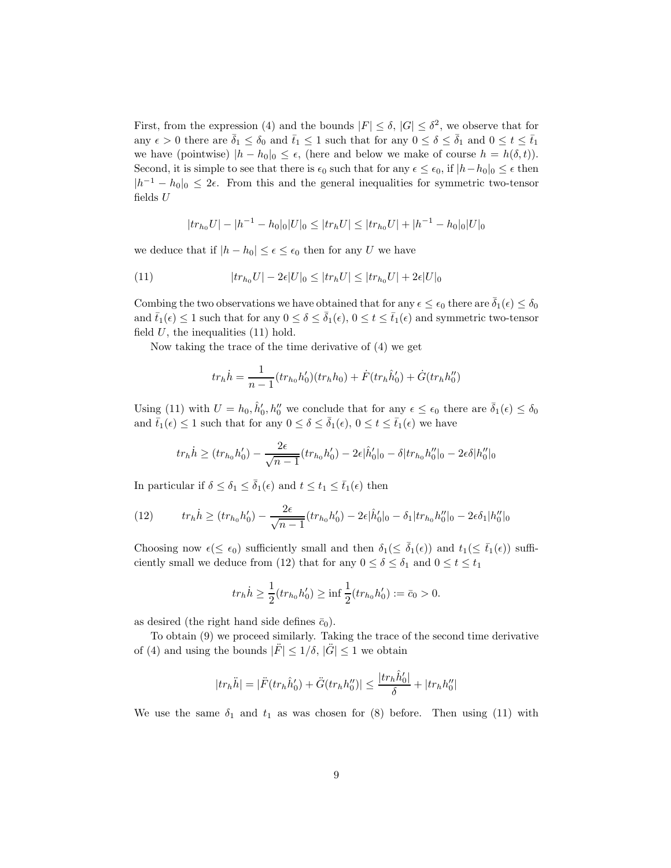First, from the expression (4) and the bounds  $|F| \leq \delta$ ,  $|G| \leq \delta^2$ , we observe that for any  $\epsilon > 0$  there are  $\bar{\delta}_1 \leq \delta_0$  and  $\bar{t}_1 \leq 1$  such that for any  $0 \leq \delta \leq \bar{\delta}_1$  and  $0 \leq t \leq \bar{t}_1$ we have (pointwise)  $|h - h_0|_0 \leq \epsilon$ , (here and below we make of course  $h = h(\delta, t)$ ). Second, it is simple to see that there is  $\epsilon_0$  such that for any  $\epsilon \leq \epsilon_0$ , if  $|h-h_0|_0 \leq \epsilon$  then  $|h^{-1} - h_0|_0 \leq 2\epsilon$ . From this and the general inequalities for symmetric two-tensor fields  ${\cal U}$ 

$$
|tr_{h_0}U| - |h^{-1} - h_0|_0|U|_0 \le |tr_hU| \le |tr_{h_0}U| + |h^{-1} - h_0|_0|U|_0
$$

we deduce that if  $|h - h_0| \leq \epsilon \leq \epsilon_0$  then for any U we have

(11) 
$$
|tr_{h_0}U| - 2\epsilon |U|_0 \le |tr_h U| \le |tr_{h_0}U| + 2\epsilon |U|_0
$$

Combing the two observations we have obtained that for any  $\epsilon \leq \epsilon_0$  there are  $\bar{\delta}_1(\epsilon) \leq \delta_0$ and  $\bar{t}_1(\epsilon) \leq 1$  such that for any  $0 \leq \delta \leq \bar{\delta}_1(\epsilon)$ ,  $0 \leq t \leq \bar{t}_1(\epsilon)$  and symmetric two-tensor field  $U$ , the inequalities  $(11)$  hold.

Now taking the trace of the time derivative of (4) we get

$$
tr_h \dot{h} = \frac{1}{n-1} (tr_{h_0} h_0') (tr_h h_0) + \dot{F} (tr_h \hat{h}_0') + \dot{G} (tr_h h_0'')
$$

Using (11) with  $U = h_0, \hat{h}'_0, h''_0$  we conclude that for any  $\epsilon \leq \epsilon_0$  there are  $\bar{\delta}_1(\epsilon) \leq \delta_0$ and  $\bar{t}_1(\epsilon) \leq 1$  such that for any  $0 \leq \delta \leq \bar{\delta}_1(\epsilon)$ ,  $0 \leq t \leq \bar{t}_1(\epsilon)$  we have

$$
tr_h \dot{h} \ge (tr_{h_0} h_0') - \frac{2\epsilon}{\sqrt{n-1}} (tr_{h_0} h_0') - 2\epsilon |\hat{h}_0'|_0 - \delta |tr_{h_0} h_0''|_0 - 2\epsilon \delta |h_0''|_0
$$

In particular if  $\delta \leq \delta_1 \leq \bar{\delta}_1(\epsilon)$  and  $t \leq t_1 \leq \bar{t}_1(\epsilon)$  then

(12) 
$$
tr_{h} \dot{h} \geq (tr_{h_0} h_0') - \frac{2\epsilon}{\sqrt{n-1}} (tr_{h_0} h_0') - 2\epsilon |\hat{h}_0'|_0 - \delta_1 |tr_{h_0} h_0''|_0 - 2\epsilon \delta_1 |h_0''|_0
$$

Choosing now  $\epsilon (\leq \epsilon_0)$  sufficiently small and then  $\delta_1(\leq \bar{\delta}_1(\epsilon))$  and  $t_1(\leq \bar{t}_1(\epsilon))$  sufficiently small we deduce from (12) that for any  $0 \le \delta \le \delta_1$  and  $0 \le t \le t_1$ 

$$
tr_h \dot{h} \ge \frac{1}{2} (tr_{h_0} h'_0) \ge \inf \frac{1}{2} (tr_{h_0} h'_0) := \bar{c}_0 > 0.
$$

as desired (the right hand side defines  $\bar{c}_0$ ).

To obtain (9) we proceed similarly. Taking the trace of the second time derivative of (4) and using the bounds  $|\ddot{F}| \leq 1/\delta$ ,  $|\ddot{G}| \leq 1$  we obtain

$$
|tr_h\ddot{h}|=|\ddot{F}(tr_h\hat{h}_0')+\ddot{G}(tr_hh_0'')|\leq \frac{|tr_h\hat{h}_0'|}{\delta}+|tr_hh_0''|
$$

We use the same  $\delta_1$  and  $t_1$  as was chosen for (8) before. Then using (11) with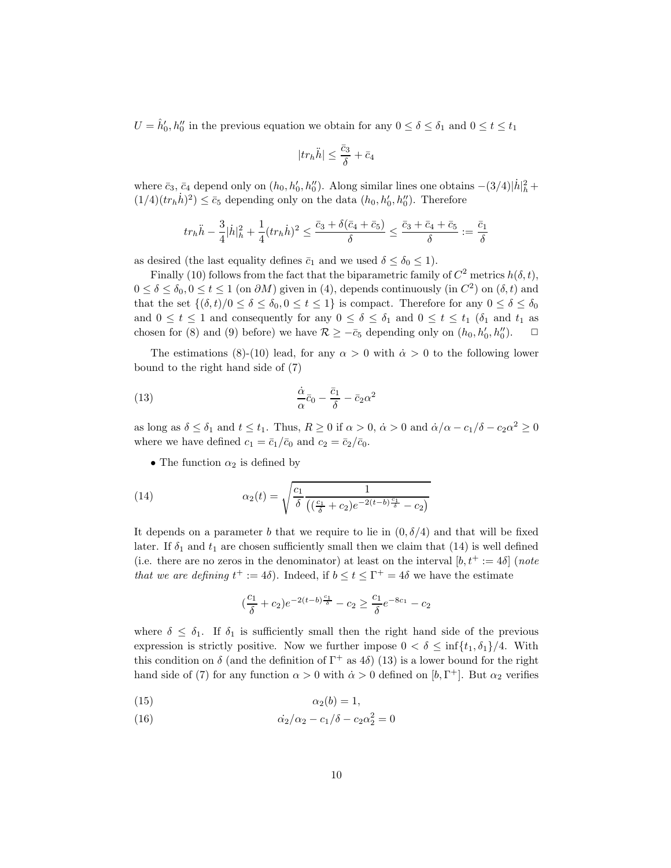$U = \hat{h}'_0, h''_0$  in the previous equation we obtain for any  $0 \le \delta \le \delta_1$  and  $0 \le t \le t_1$ 

$$
|tr_h \ddot{h}| \leq \frac{\bar{c}_3}{\delta} + \bar{c}_4
$$

where  $\bar{c}_3$ ,  $\bar{c}_4$  depend only on  $(h_0, h'_0, h''_0)$ . Along similar lines one obtains  $-(3/4)|\dot{h}|_h^2 +$  $(1/4)(tr_h\dot{h})^2$   $\leq \bar{c}_5$  depending only on the data  $(h_0, h'_0, h''_0)$ . Therefore

$$
tr_h \ddot{h} - \frac{3}{4}|\dot{h}|_h^2 + \frac{1}{4}(tr_h \dot{h})^2 \leq \frac{\bar{c}_3 + \delta(\bar{c}_4 + \bar{c}_5)}{\delta} \leq \frac{\bar{c}_3 + \bar{c}_4 + \bar{c}_5}{\delta} := \frac{\bar{c}_1}{\delta}
$$

as desired (the last equality defines  $\bar{c}_1$  and we used  $\delta \leq \delta_0 \leq 1$ ).

Finally (10) follows from the fact that the biparametric family of  $C^2$  metrics  $h(\delta, t)$ ,  $0 \le \delta \le \delta_0, 0 \le t \le 1$  (on  $\partial M$ ) given in (4), depends continuously (in  $C^2$ ) on  $(\delta, t)$  and that the set  $\{(\delta, t)/0 \le \delta \le \delta_0, 0 \le t \le 1\}$  is compact. Therefore for any  $0 \le \delta \le \delta_0$ and  $0 \leq t \leq 1$  and consequently for any  $0 \leq \delta \leq \delta_1$  and  $0 \leq t \leq t_1$  ( $\delta_1$  and  $t_1$  as chosen for (8) and (9) before) we have  $\mathcal{R} \geq -\bar{c}_5$  depending only on  $(h_0, h'_0, h''_0)$ .  $\Box$ 

The estimations (8)-(10) lead, for any  $\alpha > 0$  with  $\dot{\alpha} > 0$  to the following lower bound to the right hand side of (7)

(13) 
$$
\frac{\dot{\alpha}}{\alpha}\bar{c}_0 - \frac{\bar{c}_1}{\delta} - \bar{c}_2\alpha^2
$$

as long as  $\delta \leq \delta_1$  and  $t \leq t_1$ . Thus,  $R \geq 0$  if  $\alpha > 0$ ,  $\dot{\alpha} > 0$  and  $\dot{\alpha}/\alpha - c_1/\delta - c_2 \alpha^2 \geq 0$ where we have defined  $c_1 = \bar{c}_1/\bar{c}_0$  and  $c_2 = \bar{c}_2/\bar{c}_0$ .

• The function  $\alpha_2$  is defined by

(14) 
$$
\alpha_2(t) = \sqrt{\frac{c_1}{\delta} \frac{1}{((\frac{c_1}{\delta} + c_2)e^{-2(t-b)\frac{c_1}{\delta}} - c_2)}}
$$

It depends on a parameter b that we require to lie in  $(0, \delta/4)$  and that will be fixed later. If  $\delta_1$  and  $t_1$  are chosen sufficiently small then we claim that (14) is well defined (i.e. there are no zeros in the denominator) at least on the interval  $[b, t^+ := 4\delta]$  (note that we are defining  $t^+ := 4\delta$ . Indeed, if  $b \le t \le T^+ = 4\delta$  we have the estimate

$$
\left(\frac{c_1}{\delta} + c_2\right)e^{-2(t-b)\frac{c_1}{\delta}} - c_2 \ge \frac{c_1}{\delta}e^{-8c_1} - c_2
$$

where  $\delta \leq \delta_1$ . If  $\delta_1$  is sufficiently small then the right hand side of the previous expression is strictly positive. Now we further impose  $0 < \delta \leq \inf\{t_1, \delta_1\}/4$ . With this condition on  $\delta$  (and the definition of  $\Gamma^+$  as 4 $\delta$ ) (13) is a lower bound for the right hand side of (7) for any function  $\alpha > 0$  with  $\dot{\alpha} > 0$  defined on [b,  $\Gamma^+$ ]. But  $\alpha_2$  verifies

$$
\alpha_2(b) = 1,
$$

(16) 
$$
\dot{\alpha_2}/\alpha_2 - c_1/\delta - c_2 \alpha_2^2 = 0
$$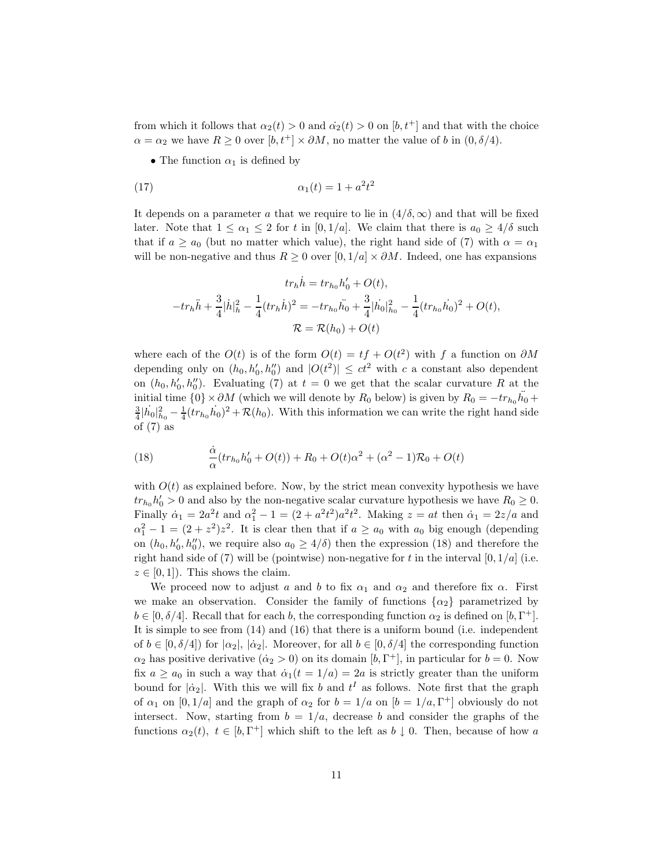from which it follows that  $\alpha_2(t) > 0$  and  $\dot{\alpha_2}(t) > 0$  on  $[b, t^+]$  and that with the choice  $\alpha = \alpha_2$  we have  $R \geq 0$  over  $[b, t^+] \times \partial M$ , no matter the value of b in  $(0, \delta/4)$ .

• The function  $\alpha_1$  is defined by

$$
\alpha_1(t) = 1 + a^2 t^2
$$

It depends on a parameter a that we require to lie in  $(4/\delta, \infty)$  and that will be fixed later. Note that  $1 \leq \alpha_1 \leq 2$  for t in [0, 1/a]. We claim that there is  $a_0 \geq 4/\delta$  such that if  $a \ge a_0$  (but no matter which value), the right hand side of (7) with  $\alpha = \alpha_1$ will be non-negative and thus  $R \geq 0$  over  $[0, 1/a] \times \partial M$ . Indeed, one has expansions

$$
tr_{h} \dot{h} = tr_{h_{0}} h'_{0} + O(t),
$$
  

$$
-tr_{h} \ddot{h} + \frac{3}{4} |\dot{h}|_{h}^{2} - \frac{1}{4} (tr_{h} \dot{h})^{2} = -tr_{h_{0}} \ddot{h_{0}} + \frac{3}{4} |\dot{h_{0}}|_{h_{0}}^{2} - \frac{1}{4} (tr_{h_{0}} \dot{h_{0}})^{2} + O(t),
$$
  

$$
\mathcal{R} = \mathcal{R}(h_{0}) + O(t)
$$

where each of the  $O(t)$  is of the form  $O(t) = tf + O(t^2)$  with f a function on  $\partial M$ depending only on  $(h_0, h'_0, h''_0)$  and  $|O(t^2)| \le ct^2$  with c a constant also dependent on  $(h_0, h'_0, h''_0)$ . Evaluating (7) at  $t = 0$  we get that the scalar curvature R at the initial time  $\{0\} \times \partial M$  (which we will denote by  $R_0$  below) is given by  $R_0 = -tr_{h_0} \ddot{h_0} +$  $\frac{3}{4}|\dot{h}_0|^2_{h_0} - \frac{1}{4}(tr_{h_0}\dot{h}_0)^2 + \mathcal{R}(h_0)$ . With this information we can write the right hand side of  $(7)$  as

(18) 
$$
\frac{\dot{\alpha}}{\alpha}(tr_{h_0}h'_0 + O(t)) + R_0 + O(t)\alpha^2 + (\alpha^2 - 1)\mathcal{R}_0 + O(t)
$$

with  $O(t)$  as explained before. Now, by the strict mean convexity hypothesis we have  $tr_{h_0}h'_0 > 0$  and also by the non-negative scalar curvature hypothesis we have  $R_0 \geq 0$ . Finally  $\dot{\alpha}_1 = 2a^2t$  and  $\alpha_1^2 - 1 = (2 + a^2t^2)a^2t^2$ . Making  $z = at$  then  $\dot{\alpha}_1 = 2z/a$  and  $\alpha_1^2 - 1 = (2 + z^2)z^2$ . It is clear then that if  $a \ge a_0$  with  $a_0$  big enough (depending on  $(h_0, h'_0, h''_0)$ , we require also  $a_0 \ge 4/\delta$ ) then the expression (18) and therefore the right hand side of (7) will be (pointwise) non-negative for t in the interval  $[0, 1/a]$  (i.e.  $z \in [0, 1]$ . This shows the claim.

We proceed now to adjust a and b to fix  $\alpha_1$  and  $\alpha_2$  and therefore fix  $\alpha$ . First we make an observation. Consider the family of functions  $\{\alpha_2\}$  parametrized by  $b \in [0, \delta/4]$ . Recall that for each b, the corresponding function  $\alpha_2$  is defined on  $[b, \Gamma^+]$ . It is simple to see from (14) and (16) that there is a uniform bound (i.e. independent of  $b \in [0, \delta/4]$  for  $|\alpha_2|$ ,  $|\dot{\alpha}_2|$ . Moreover, for all  $b \in [0, \delta/4]$  the corresponding function  $\alpha_2$  has positive derivative  $(\dot{\alpha}_2 > 0)$  on its domain  $[b, \Gamma^+]$ , in particular for  $b = 0$ . Now fix  $a \ge a_0$  in such a way that  $\dot{\alpha}_1(t = 1/a) = 2a$  is strictly greater than the uniform bound for  $|\dot{\alpha}_2|$ . With this we will fix b and  $t^I$  as follows. Note first that the graph of  $\alpha_1$  on  $[0, 1/a]$  and the graph of  $\alpha_2$  for  $b = 1/a$  on  $[b = 1/a, \Gamma^+]$  obviously do not intersect. Now, starting from  $b = 1/a$ , decrease b and consider the graphs of the functions  $\alpha_2(t)$ ,  $t \in [b, \Gamma^+]$  which shift to the left as  $b \downarrow 0$ . Then, because of how a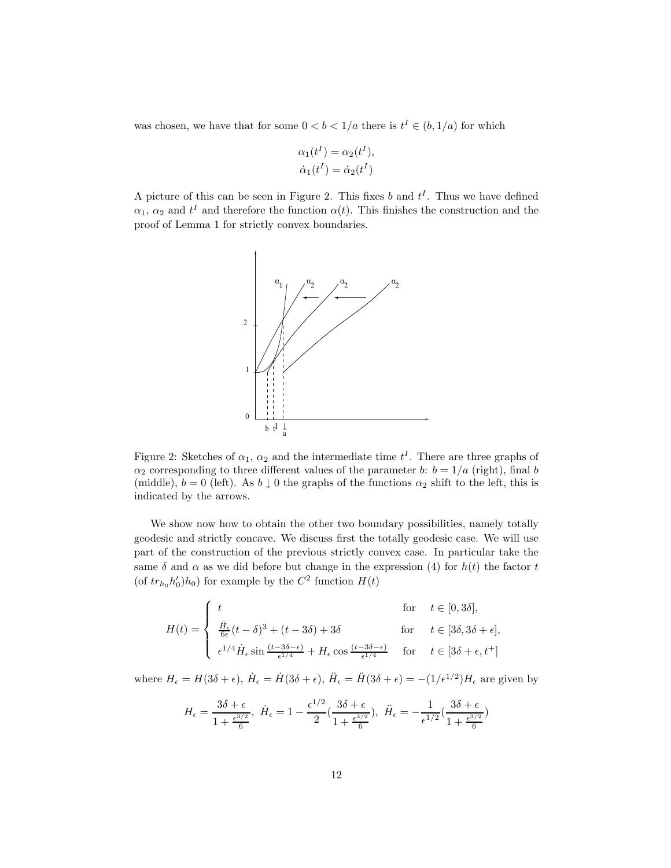was chosen, we have that for some  $0 < b < 1/a$  there is  $t^I \in (b, 1/a)$  for which

$$
\alpha_1(t^I) = \alpha_2(t^I),
$$
  
\n
$$
\dot{\alpha}_1(t^I) = \dot{\alpha}_2(t^I)
$$

A picture of this can be seen in Figure 2. This fixes b and  $t<sup>I</sup>$ . Thus we have defined  $\alpha_1, \alpha_2$  and  $t^I$  and therefore the function  $\alpha(t)$ . This finishes the construction and the proof of Lemma 1 for strictly convex boundaries.



Figure 2: Sketches of  $\alpha_1$ ,  $\alpha_2$  and the intermediate time  $t^I$ . There are three graphs of  $\alpha_2$  corresponding to three different values of the parameter b:  $b = 1/a$  (right), final b (middle),  $b = 0$  (left). As  $b \downarrow 0$  the graphs of the functions  $\alpha_2$  shift to the left, this is indicated by the arrows.

We show now how to obtain the other two boundary possibilities, namely totally geodesic and strictly concave. We discuss first the totally geodesic case. We will use part of the construction of the previous strictly convex case. In particular take the same  $\delta$  and  $\alpha$  as we did before but change in the expression (4) for  $h(t)$  the factor t (of  $tr_{h_0}h'_0$ )h<sub>0</sub>) for example by the  $C^2$  function  $H(t)$ 

$$
H(t) = \begin{cases} t & \text{for } t \in [0, 3\delta], \\ \frac{\ddot{H}_{\epsilon}}{6\epsilon}(t-\delta)^3 + (t-3\delta) + 3\delta & \text{for } t \in [3\delta, 3\delta + \epsilon], \\ \epsilon^{1/4} \dot{H}_{\epsilon} \sin \frac{(t-3\delta-\epsilon)}{\epsilon^{1/4}} + H_{\epsilon} \cos \frac{(t-3\delta-\epsilon)}{\epsilon^{1/4}} & \text{for } t \in [3\delta + \epsilon, t^+] \end{cases}
$$

where  $H_{\epsilon} = H(3\delta + \epsilon)$ ,  $\dot{H}_{\epsilon} = \dot{H}(3\delta + \epsilon)$ ,  $\ddot{H}_{\epsilon} = \ddot{H}(3\delta + \epsilon) = -\left(1/\epsilon^{1/2}\right)H_{\epsilon}$  are given by

$$
H_{\epsilon} = \frac{3\delta + \epsilon}{1 + \frac{\epsilon^{3/2}}{6}}, \quad \dot{H}_{\epsilon} = 1 - \frac{\epsilon^{1/2}}{2} \left( \frac{3\delta + \epsilon}{1 + \frac{\epsilon^{3/2}}{6}} \right), \quad \ddot{H}_{\epsilon} = -\frac{1}{\epsilon^{1/2}} \left( \frac{3\delta + \epsilon}{1 + \frac{\epsilon^{3/2}}{6}} \right)
$$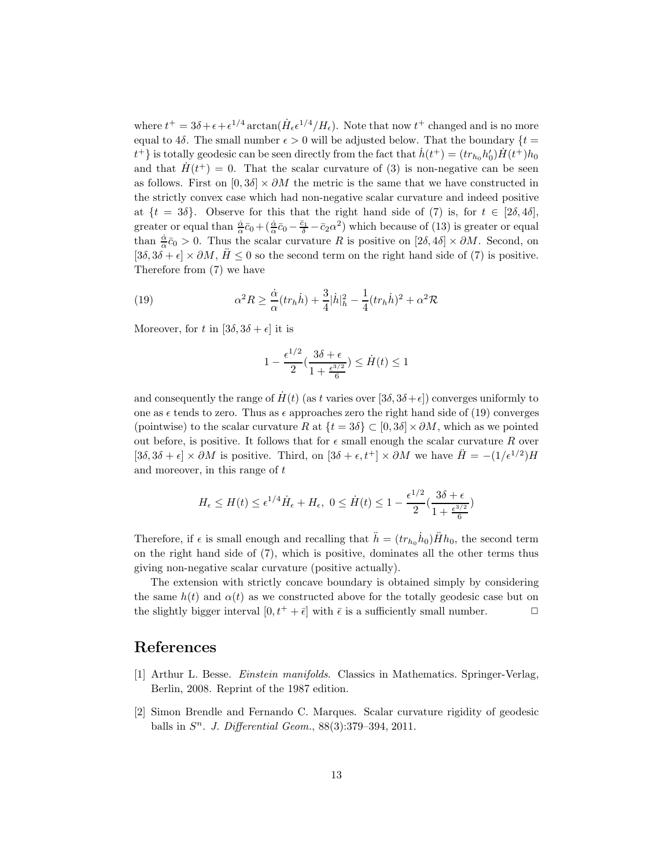where  $t^+ = 3\delta + \epsilon + \epsilon^{1/4} \arctan(\dot{H}_\epsilon \epsilon^{1/4}/H_\epsilon)$ . Note that now  $t^+$  changed and is no more equal to 4 $\delta$ . The small number  $\epsilon > 0$  will be adjusted below. That the boundary  $\{t =$  $t^{\dagger}$  is totally geodesic can be seen directly from the fact that  $\dot{h}(t^{\dagger})=(tr_{h_0}h_0')\dot{H}(t^{\dagger})h_0$ and that  $H(t^+) = 0$ . That the scalar curvature of (3) is non-negative can be seen as follows. First on  $[0, 3\delta] \times \partial M$  the metric is the same that we have constructed in the strictly convex case which had non-negative scalar curvature and indeed positive at  $\{t = 3\delta\}$ . Observe for this that the right hand side of (7) is, for  $t \in [2\delta, 4\delta]$ , greater or equal than  $\frac{\dot{\alpha}}{\alpha}\bar{c}_0 + (\frac{\dot{\alpha}}{\alpha}\bar{c}_0 - \frac{\bar{c}_1}{\delta} - \bar{c}_2\alpha^2)$  which because of (13) is greater or equal than  $\frac{\dot{\alpha}}{\alpha}\bar{c}_0 > 0$ . Thus the scalar curvature R is positive on  $[2\delta, 4\delta] \times \partial M$ . Second, on  $[3\delta, 3\delta + \epsilon] \times \partial M$ ,  $H \leq 0$  so the second term on the right hand side of (7) is positive. Therefore from (7) we have

(19) 
$$
\alpha^2 R \geq \frac{\dot{\alpha}}{\alpha} (tr_h \dot{h}) + \frac{3}{4} |\dot{h}|_h^2 - \frac{1}{4} (tr_h \dot{h})^2 + \alpha^2 \mathcal{R}
$$

Moreover, for t in  $[3\delta, 3\delta + \epsilon]$  it is

$$
1 - \frac{\epsilon^{1/2}}{2} \left( \frac{3\delta + \epsilon}{1 + \frac{\epsilon^{3/2}}{6}} \right) \le \dot{H}(t) \le 1
$$

and consequently the range of  $H(t)$  (as t varies over [3 $\delta$ ,  $3\delta + \epsilon$ ]) converges uniformly to one as  $\epsilon$  tends to zero. Thus as  $\epsilon$  approaches zero the right hand side of (19) converges (pointwise) to the scalar curvature R at  $\{t = 3\delta\} \subset [0, 3\delta] \times \partial M$ , which as we pointed out before, is positive. It follows that for  $\epsilon$  small enough the scalar curvature R over  $[3\delta, 3\delta + \epsilon] \times \partial M$  is positive. Third, on  $[3\delta + \epsilon, t^+] \times \partial M$  we have  $\ddot{H} = -(1/\epsilon^{1/2})H$ and moreover, in this range of  $t$ 

$$
H_{\epsilon} \le H(t) \le \epsilon^{1/4} \dot{H}_{\epsilon} + H_{\epsilon}, \ 0 \le \dot{H}(t) \le 1 - \frac{\epsilon^{1/2}}{2} \left( \frac{3\delta + \epsilon}{1 + \frac{\epsilon^{3/2}}{6}} \right)
$$

Therefore, if  $\epsilon$  is small enough and recalling that  $\ddot{h} = (tr_{h_0} \dot{h}_0) \ddot{H} h_0$ , the second term on the right hand side of (7), which is positive, dominates all the other terms thus giving non-negative scalar curvature (positive actually).

The extension with strictly concave boundary is obtained simply by considering the same  $h(t)$  and  $\alpha(t)$  as we constructed above for the totally geodesic case but on the slightly bigger interval  $[0, t^+ + \bar{\epsilon}]$  with  $\bar{\epsilon}$  is a sufficiently small number.  $\Box$ 

## References

- [1] Arthur L. Besse. Einstein manifolds. Classics in Mathematics. Springer-Verlag, Berlin, 2008. Reprint of the 1987 edition.
- [2] Simon Brendle and Fernando C. Marques. Scalar curvature rigidity of geodesic balls in  $S<sup>n</sup>$ . J. Differential Geom., 88(3):379–394, 2011.